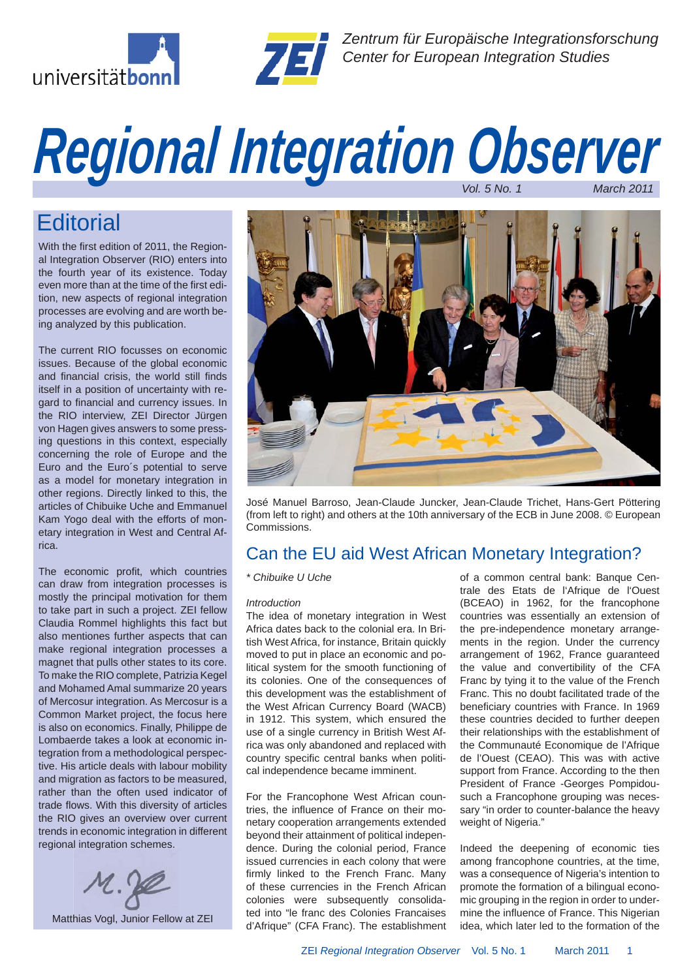



*Zentrum für Europäische Integrationsforschung Center for European Integration Studies*

# *Regional Integration Observer Vol. 5 No. 1 March 2011*

## **Editorial**

With the first edition of 2011, the Regional Integration Observer (RIO) enters into the fourth year of its existence. Today even more than at the time of the first edition, new aspects of regional integration processes are evolving and are worth being analyzed by this publication.

The current RIO focusses on economic issues. Because of the global economic and financial crisis, the world still finds itself in a position of uncertainty with regard to financial and currency issues. In the RIO interview, ZEI Director Jürgen von Hagen gives answers to some pressing questions in this context, especially concerning the role of Europe and the Euro and the Euro´s potential to serve as a model for monetary integration in other regions. Directly linked to this, the articles of Chibuike Uche and Emmanuel Kam Yogo deal with the efforts of monetary integration in West and Central Africa.

The economic profit, which countries can draw from integration processes is mostly the principal motivation for them to take part in such a project. ZEI fellow Claudia Rommel highlights this fact but also mentiones further aspects that can make regional integration processes a magnet that pulls other states to its core. To make the RIO complete, Patrizia Kegel and Mohamed Amal summarize 20 years of Mercosur integration. As Mercosur is a Common Market project, the focus here is also on economics. Finally, Philippe de Lombaerde takes a look at economic integration from a methodological perspective. His article deals with labour mobility and migration as factors to be measured, rather than the often used indicator of trade flows. With this diversity of articles the RIO gives an overview over current trends in economic integration in different regional integration schemes.





José Manuel Barroso, Jean-Claude Juncker, Jean-Claude Trichet, Hans-Gert Pöttering (from left to right) and others at the 10th anniversary of the ECB in June 2008. © European Commissions.

## Can the EU aid West African Monetary Integration?

#### *\* Chibuike U Uche*

#### *Introduction*

The idea of monetary integration in West Africa dates back to the colonial era. In British West Africa, for instance, Britain quickly moved to put in place an economic and political system for the smooth functioning of its colonies. One of the consequences of this development was the establishment of the West African Currency Board (WACB) in 1912. This system, which ensured the use of a single currency in British West Africa was only abandoned and replaced with country specific central banks when political independence became imminent.

For the Francophone West African countries, the influence of France on their monetary cooperation arrangements extended beyond their attainment of political independence. During the colonial period, France issued currencies in each colony that were firmly linked to the French Franc. Many of these currencies in the French African colonies were subsequently consolidated into "le franc des Colonies Francaises d'Afrique" (CFA Franc). The establishment of a common central bank: Banque Centrale des Etats de l'Afrique de l'Ouest (BCEAO) in 1962, for the francophone countries was essentially an extension of the pre-independence monetary arrangements in the region. Under the currency arrangement of 1962, France guaranteed the value and convertibility of the CFA Franc by tying it to the value of the French Franc. This no doubt facilitated trade of the beneficiary countries with France. In 1969 these countries decided to further deepen their relationships with the establishment of the Communauté Economique de l'Afrique de l'Ouest (CEAO). This was with active support from France. According to the then President of France -Georges Pompidousuch a Francophone grouping was necessary "in order to counter-balance the heavy weight of Nigeria."

Indeed the deepening of economic ties among francophone countries, at the time, was a consequence of Nigeria's intention to promote the formation of a bilingual economic grouping in the region in order to undermine the influence of France. This Nigerian idea, which later led to the formation of the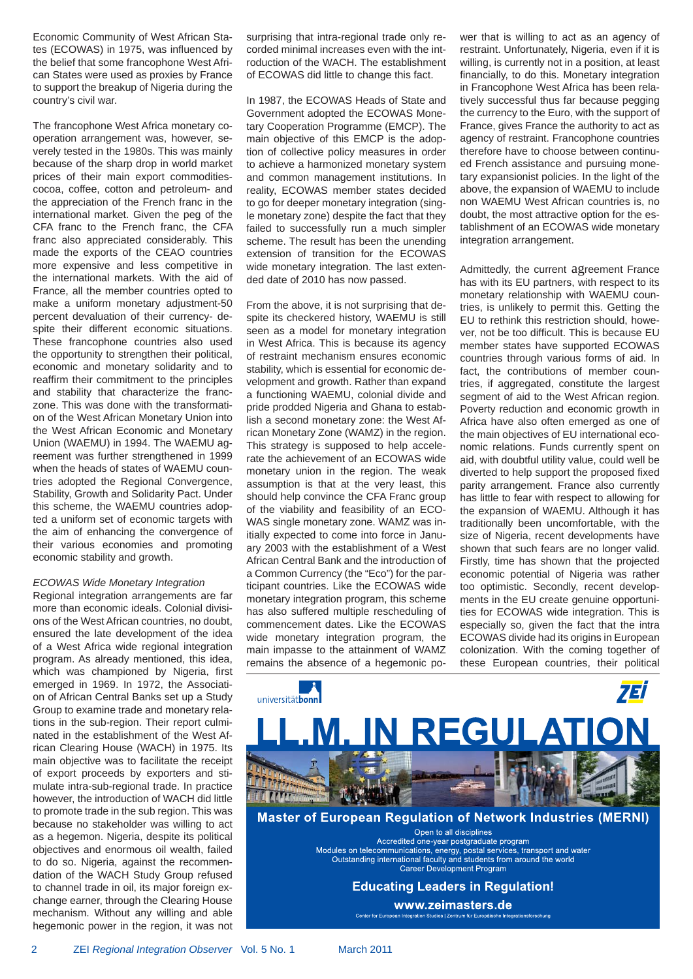Economic Community of West African States (ECOWAS) in 1975, was influenced by the belief that some francophone West African States were used as proxies by France to support the breakup of Nigeria during the country's civil war.

The francophone West Africa monetary cooperation arrangement was, however, severely tested in the 1980s. This was mainly because of the sharp drop in world market prices of their main export commoditiescocoa, coffee, cotton and petroleum- and the appreciation of the French franc in the international market. Given the peg of the CFA franc to the French franc, the CFA franc also appreciated considerably. This made the exports of the CEAO countries more expensive and less competitive in the international markets. With the aid of France, all the member countries opted to make a uniform monetary adjustment-50 percent devaluation of their currency- despite their different economic situations. These francophone countries also used the opportunity to strengthen their political, economic and monetary solidarity and to reaffirm their commitment to the principles and stability that characterize the franczone. This was done with the transformation of the West African Monetary Union into the West African Economic and Monetary Union (WAEMU) in 1994. The WAEMU agreement was further strengthened in 1999 when the heads of states of WAEMU countries adopted the Regional Convergence, Stability, Growth and Solidarity Pact. Under this scheme, the WAEMU countries adopted a uniform set of economic targets with the aim of enhancing the convergence of their various economies and promoting economic stability and growth.

#### *ECOWAS Wide Monetary Integration*

Regional integration arrangements are far more than economic ideals. Colonial divisions of the West African countries, no doubt, ensured the late development of the idea of a West Africa wide regional integration program. As already mentioned, this idea, which was championed by Nigeria, first emerged in 1969. In 1972, the Association of African Central Banks set up a Study Group to examine trade and monetary relations in the sub-region. Their report culminated in the establishment of the West African Clearing House (WACH) in 1975. Its main objective was to facilitate the receipt of export proceeds by exporters and stimulate intra-sub-regional trade. In practice however, the introduction of WACH did little to promote trade in the sub region. This was because no stakeholder was willing to act as a hegemon. Nigeria, despite its political objectives and enormous oil wealth, failed to do so. Nigeria, against the recommendation of the WACH Study Group refused to channel trade in oil, its major foreign exchange earner, through the Clearing House mechanism. Without any willing and able hegemonic power in the region, it was not surprising that intra-regional trade only recorded minimal increases even with the introduction of the WACH. The establishment of ECOWAS did little to change this fact.

In 1987, the ECOWAS Heads of State and Government adopted the ECOWAS Monetary Cooperation Programme (EMCP). The main objective of this EMCP is the adoption of collective policy measures in order to achieve a harmonized monetary system and common management institutions. In reality, ECOWAS member states decided to go for deeper monetary integration (single monetary zone) despite the fact that they failed to successfully run a much simpler scheme. The result has been the unending extension of transition for the ECOWAS wide monetary integration. The last extended date of 2010 has now passed.

From the above, it is not surprising that despite its checkered history, WAEMU is still seen as a model for monetary integration in West Africa. This is because its agency of restraint mechanism ensures economic stability, which is essential for economic development and growth. Rather than expand a functioning WAEMU, colonial divide and pride prodded Nigeria and Ghana to establish a second monetary zone: the West African Monetary Zone (WAMZ) in the region. This strategy is supposed to help accelerate the achievement of an ECOWAS wide monetary union in the region. The weak assumption is that at the very least, this should help convince the CFA Franc group of the viability and feasibility of an ECO-WAS single monetary zone. WAMZ was initially expected to come into force in January 2003 with the establishment of a West African Central Bank and the introduction of a Common Currency (the "Eco") for the participant countries. Like the ECOWAS wide monetary integration program, this scheme has also suffered multiple rescheduling of commencement dates. Like the ECOWAS wide monetary integration program, the main impasse to the attainment of WAMZ remains the absence of a hegemonic power that is willing to act as an agency of restraint. Unfortunately, Nigeria, even if it is willing, is currently not in a position, at least financially, to do this. Monetary integration in Francophone West Africa has been relatively successful thus far because pegging the currency to the Euro, with the support of France, gives France the authority to act as agency of restraint. Francophone countries therefore have to choose between continued French assistance and pursuing monetary expansionist policies. In the light of the above, the expansion of WAEMU to include non WAEMU West African countries is, no doubt, the most attractive option for the establishment of an ECOWAS wide monetary integration arrangement.

Admittedly, the current agreement France has with its EU partners, with respect to its monetary relationship with WAEMU countries, is unlikely to permit this. Getting the EU to rethink this restriction should, however, not be too difficult. This is because EU member states have supported ECOWAS countries through various forms of aid. In fact, the contributions of member countries, if aggregated, constitute the largest segment of aid to the West African region. Poverty reduction and economic growth in Africa have also often emerged as one of the main objectives of EU international economic relations. Funds currently spent on aid, with doubtful utility value, could well be diverted to help support the proposed fixed parity arrangement. France also currently has little to fear with respect to allowing for the expansion of WAEMU. Although it has traditionally been uncomfortable, with the size of Nigeria, recent developments have shown that such fears are no longer valid. Firstly, time has shown that the projected economic potential of Nigeria was rather too optimistic. Secondly, recent developments in the EU create genuine opportunities for ECOWAS wide integration. This is especially so, given the fact that the intra ECOWAS divide had its origins in European colonization. With the coming together of these European countries, their political



Contactor Furar arationsforschung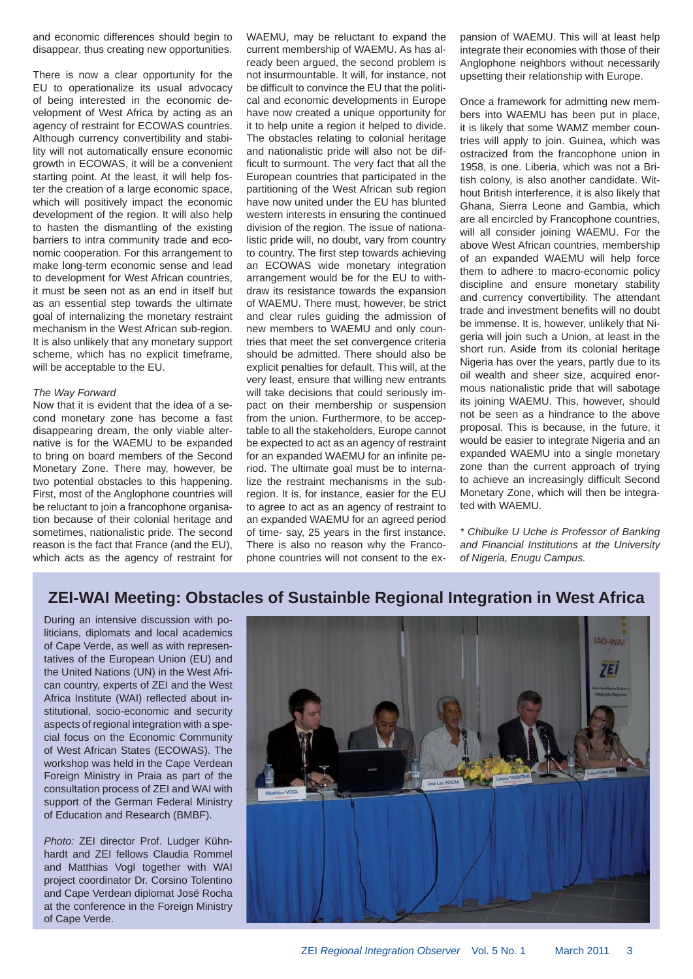and economic differences should begin to disappear, thus creating new opportunities.

There is now a clear opportunity for the EU to operationalize its usual advocacy of being interested in the economic development of West Africa by acting as an agency of restraint for ECOWAS countries. Although currency convertibility and stability will not automatically ensure economic growth in ECOWAS, it will be a convenient starting point. At the least, it will help foster the creation of a large economic space, which will positively impact the economic development of the region. It will also help to hasten the dismantling of the existing barriers to intra community trade and economic cooperation. For this arrangement to make long-term economic sense and lead to development for West African countries, it must be seen not as an end in itself but as an essential step towards the ultimate goal of internalizing the monetary restraint mechanism in the West African sub-region. It is also unlikely that any monetary support scheme, which has no explicit timeframe, will be acceptable to the EU.

#### *The Way Forward*

Now that it is evident that the idea of a second monetary zone has become a fast disappearing dream, the only viable alternative is for the WAEMU to be expanded to bring on board members of the Second Monetary Zone. There may, however, be two potential obstacles to this happening. First, most of the Anglophone countries will be reluctant to join a francophone organisation because of their colonial heritage and sometimes, nationalistic pride. The second reason is the fact that France (and the EU), which acts as the agency of restraint for WAEMU, may be reluctant to expand the current membership of WAEMU. As has already been argued, the second problem is not insurmountable. It will, for instance, not be difficult to convince the EU that the political and economic developments in Europe have now created a unique opportunity for it to help unite a region it helped to divide. The obstacles relating to colonial heritage and nationalistic pride will also not be difficult to surmount. The very fact that all the European countries that participated in the partitioning of the West African sub region have now united under the EU has blunted western interests in ensuring the continued division of the region. The issue of nationalistic pride will, no doubt, vary from country to country. The first step towards achieving an ECOWAS wide monetary integration arrangement would be for the EU to withdraw its resistance towards the expansion of WAEMU. There must, however, be strict and clear rules guiding the admission of new members to WAEMU and only countries that meet the set convergence criteria should be admitted. There should also be explicit penalties for default. This will, at the very least, ensure that willing new entrants will take decisions that could seriously impact on their membership or suspension from the union. Furthermore, to be acceptable to all the stakeholders, Europe cannot be expected to act as an agency of restraint for an expanded WAEMU for an infinite period. The ultimate goal must be to internalize the restraint mechanisms in the subregion. It is, for instance, easier for the EU to agree to act as an agency of restraint to an expanded WAEMU for an agreed period of time- say, 25 years in the first instance. There is also no reason why the Francophone countries will not consent to the expansion of WAEMU. This will at least help integrate their economies with those of their Anglophone neighbors without necessarily upsetting their relationship with Europe.

Once a framework for admitting new members into WAEMU has been put in place, it is likely that some WAMZ member countries will apply to join. Guinea, which was ostracized from the francophone union in 1958, is one. Liberia, which was not a British colony, is also another candidate. Without British interference, it is also likely that Ghana, Sierra Leone and Gambia, which are all encircled by Francophone countries, will all consider joining WAEMU. For the above West African countries, membership of an expanded WAEMU will help force them to adhere to macro-economic policy discipline and ensure monetary stability and currency convertibility. The attendant trade and investment benefits will no doubt be immense. It is, however, unlikely that Nigeria will join such a Union, at least in the short run. Aside from its colonial heritage Nigeria has over the years, partly due to its oil wealth and sheer size, acquired enormous nationalistic pride that will sabotage its joining WAEMU. This, however, should not be seen as a hindrance to the above proposal. This is because, in the future, it would be easier to integrate Nigeria and an expanded WAEMU into a single monetary zone than the current approach of trying to achieve an increasingly difficult Second Monetary Zone, which will then be integrated with WAEMU.

*\* Chibuike U Uche is Professor of Banking and Financial Institutions at the University of Nigeria, Enugu Campus.*

### **ZEI-WAI Meeting: Obstacles of Sustainble Regional Integration in West Africa**

During an intensive discussion with politicians, diplomats and local academics of Cape Verde, as well as with representatives of the European Union (EU) and the United Nations (UN) in the West African country, experts of ZEI and the West Africa Institute (WAI) reflected about institutional, socio-economic and security aspects of regional integration with a special focus on the Economic Community of West African States (ECOWAS). The workshop was held in the Cape Verdean Foreign Ministry in Praia as part of the consultation process of ZEI and WAI with support of the German Federal Ministry of Education and Research (BMBF).

*Photo:* ZEI director Prof. Ludger Kühnhardt and ZEI fellows Claudia Rommel and Matthias Vogl together with WAI project coordinator Dr. Corsino Tolentino and Cape Verdean diplomat José Rocha at the conference in the Foreign Ministry of Cape Verde.

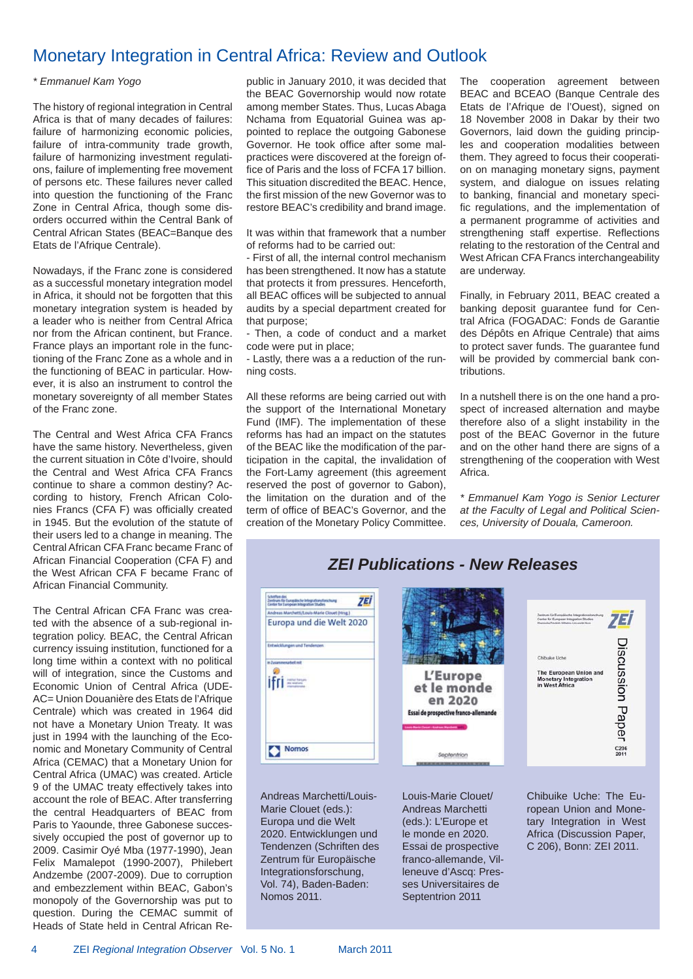## Monetary Integration in Central Africa: Review and Outlook

#### *\* Emmanuel Kam Yogo*

The history of regional integration in Central Africa is that of many decades of failures: failure of harmonizing economic policies, failure of intra-community trade growth, failure of harmonizing investment regulations, failure of implementing free movement of persons etc. These failures never called into question the functioning of the Franc Zone in Central Africa, though some disorders occurred within the Central Bank of Central African States (BEAC=Banque des Etats de l'Afrique Centrale).

Nowadays, if the Franc zone is considered as a successful monetary integration model in Africa, it should not be forgotten that this monetary integration system is headed by a leader who is neither from Central Africa nor from the African continent, but France. France plays an important role in the functioning of the Franc Zone as a whole and in the functioning of BEAC in particular. However, it is also an instrument to control the monetary sovereignty of all member States of the Franc zone.

The Central and West Africa CFA Francs have the same history. Nevertheless, given the current situation in Côte d'Ivoire, should the Central and West Africa CFA Francs continue to share a common destiny? According to history, French African Colonies Francs (CFA F) was officially created in 1945. But the evolution of the statute of their users led to a change in meaning. The Central African CFA Franc became Franc of African Financial Cooperation (CFA F) and the West African CFA F became Franc of African Financial Community.

The Central African CFA Franc was created with the absence of a sub-regional integration policy. BEAC, the Central African currency issuing institution, functioned for a long time within a context with no political will of integration, since the Customs and Economic Union of Central Africa (UDE-AC= Union Douanière des Etats de l'Afrique Centrale) which was created in 1964 did not have a Monetary Union Treaty. It was just in 1994 with the launching of the Economic and Monetary Community of Central Africa (CEMAC) that a Monetary Union for Central Africa (UMAC) was created. Article 9 of the UMAC treaty effectively takes into account the role of BEAC. After transferring the central Headquarters of BEAC from Paris to Yaounde, three Gabonese successively occupied the post of governor up to 2009. Casimir Oyé Mba (1977-1990), Jean Felix Mamalepot (1990-2007), Philebert Andzembe (2007-2009). Due to corruption and embezzlement within BEAC, Gabon's monopoly of the Governorship was put to question. During the CEMAC summit of Heads of State held in Central African Republic in January 2010, it was decided that the BEAC Governorship would now rotate among member States. Thus, Lucas Abaga Nchama from Equatorial Guinea was appointed to replace the outgoing Gabonese Governor. He took office after some malpractices were discovered at the foreign office of Paris and the loss of FCFA 17 billion. This situation discredited the BEAC. Hence, the first mission of the new Governor was to restore BEAC's credibility and brand image.

It was within that framework that a number of reforms had to be carried out:

- First of all, the internal control mechanism has been strengthened. It now has a statute that protects it from pressures. Henceforth, all BEAC offices will be subjected to annual audits by a special department created for that purpose;

- Then, a code of conduct and a market code were put in place;

- Lastly, there was a a reduction of the running costs.

All these reforms are being carried out with the support of the International Monetary Fund (IMF). The implementation of these reforms has had an impact on the statutes of the BEAC like the modification of the participation in the capital, the invalidation of the Fort-Lamy agreement (this agreement reserved the post of governor to Gabon), the limitation on the duration and of the term of office of BEAC's Governor, and the creation of the Monetary Policy Committee.

The cooperation agreement between BEAC and BCEAO (Banque Centrale des Etats de l'Afrique de l'Ouest), signed on 18 November 2008 in Dakar by their two Governors, laid down the guiding principles and cooperation modalities between them. They agreed to focus their cooperation on managing monetary signs, payment system, and dialogue on issues relating to banking, financial and monetary specific regulations, and the implementation of a permanent programme of activities and strengthening staff expertise. Reflections relating to the restoration of the Central and West African CFA Francs interchangeability are underway.

Finally, in February 2011, BEAC created a banking deposit guarantee fund for Central Africa (FOGADAC: Fonds de Garantie des Dépôts en Afrique Centrale) that aims to protect saver funds. The guarantee fund will be provided by commercial bank contributions.

In a nutshell there is on the one hand a prospect of increased alternation and maybe therefore also of a slight instability in the post of the BEAC Governor in the future and on the other hand there are signs of a strengthening of the cooperation with West Africa.

*\* Emmanuel Kam Yogo is Senior Lecturer at the Faculty of Legal and Political Sciences, University of Douala, Cameroon.*



Andreas Marchetti/Louis-Marie Clouet (eds.): Europa und die Welt 2020. Entwicklungen und Tendenzen (Schriften des Zentrum für Europäische Integrationsforschung, Vol. 74), Baden-Baden: Nomos 2011.

Louis-Marie Clouet/ Andreas Marchetti (eds.): L'Europe et le monde en 2020. Essai de prospective franco-allemande, Villeneuve d'Ascq: Presses Universitaires de Septentrion 2011

Chibuike Uche: The European Union and Monetary Integration in West Africa (Discussion Paper, C 206), Bonn: ZEI 2011.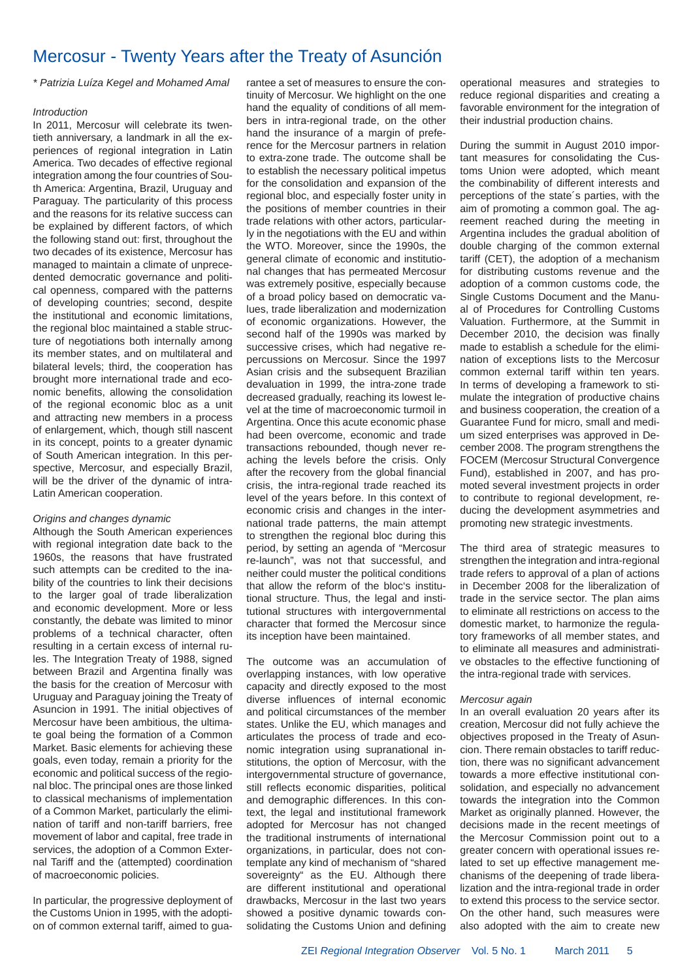## Mercosur - Twenty Years after the Treaty of Asunción

*\* Patrizia Luíza Kegel and Mohamed Amal*

#### *Introduction*

In 2011, Mercosur will celebrate its twentieth anniversary, a landmark in all the experiences of regional integration in Latin America. Two decades of effective regional integration among the four countries of South America: Argentina, Brazil, Uruguay and Paraguay. The particularity of this process and the reasons for its relative success can be explained by different factors, of which the following stand out: first, throughout the two decades of its existence, Mercosur has managed to maintain a climate of unprecedented democratic governance and political openness, compared with the patterns of developing countries; second, despite the institutional and economic limitations, the regional bloc maintained a stable structure of negotiations both internally among its member states, and on multilateral and bilateral levels; third, the cooperation has brought more international trade and economic benefits, allowing the consolidation of the regional economic bloc as a unit and attracting new members in a process of enlargement, which, though still nascent in its concept, points to a greater dynamic of South American integration. In this perspective, Mercosur, and especially Brazil, will be the driver of the dynamic of intra-Latin American cooperation.

#### *Origins and changes dynamic*

Although the South American experiences with regional integration date back to the 1960s, the reasons that have frustrated such attempts can be credited to the inability of the countries to link their decisions to the larger goal of trade liberalization and economic development. More or less constantly, the debate was limited to minor problems of a technical character, often resulting in a certain excess of internal rules. The Integration Treaty of 1988, signed between Brazil and Argentina finally was the basis for the creation of Mercosur with Uruguay and Paraguay joining the Treaty of Asuncion in 1991. The initial objectives of Mercosur have been ambitious, the ultimate goal being the formation of a Common Market. Basic elements for achieving these goals, even today, remain a priority for the economic and political success of the regional bloc. The principal ones are those linked to classical mechanisms of implementation of a Common Market, particularly the elimination of tariff and non-tariff barriers, free movement of labor and capital, free trade in services, the adoption of a Common External Tariff and the (attempted) coordination of macroeconomic policies.

In particular, the progressive deployment of the Customs Union in 1995, with the adoption of common external tariff, aimed to guarantee a set of measures to ensure the continuity of Mercosur. We highlight on the one hand the equality of conditions of all members in intra-regional trade, on the other hand the insurance of a margin of preference for the Mercosur partners in relation to extra-zone trade. The outcome shall be to establish the necessary political impetus for the consolidation and expansion of the regional bloc, and especially foster unity in the positions of member countries in their trade relations with other actors, particularly in the negotiations with the EU and within the WTO. Moreover, since the 1990s, the general climate of economic and institutional changes that has permeated Mercosur was extremely positive, especially because of a broad policy based on democratic values, trade liberalization and modernization of economic organizations. However, the second half of the 1990s was marked by successive crises, which had negative repercussions on Mercosur. Since the 1997 Asian crisis and the subsequent Brazilian devaluation in 1999, the intra-zone trade decreased gradually, reaching its lowest level at the time of macroeconomic turmoil in Argentina. Once this acute economic phase had been overcome, economic and trade transactions rebounded, though never reaching the levels before the crisis. Only after the recovery from the global financial crisis, the intra-regional trade reached its level of the years before. In this context of economic crisis and changes in the international trade patterns, the main attempt to strengthen the regional bloc during this period, by setting an agenda of "Mercosur re-launch", was not that successful, and neither could muster the political conditions that allow the reform of the bloc's institutional structure. Thus, the legal and institutional structures with intergovernmental character that formed the Mercosur since its inception have been maintained.

The outcome was an accumulation of overlapping instances, with low operative capacity and directly exposed to the most diverse influences of internal economic and political circumstances of the member states. Unlike the EU, which manages and articulates the process of trade and economic integration using supranational institutions, the option of Mercosur, with the intergovernmental structure of governance, still reflects economic disparities, political and demographic differences. In this context, the legal and institutional framework adopted for Mercosur has not changed the traditional instruments of international organizations, in particular, does not contemplate any kind of mechanism of "shared sovereignty" as the EU. Although there are different institutional and operational drawbacks, Mercosur in the last two years showed a positive dynamic towards consolidating the Customs Union and defining

operational measures and strategies to reduce regional disparities and creating a favorable environment for the integration of their industrial production chains.

During the summit in August 2010 important measures for consolidating the Customs Union were adopted, which meant the combinability of different interests and perceptions of the state´s parties, with the aim of promoting a common goal. The agreement reached during the meeting in Argentina includes the gradual abolition of double charging of the common external tariff (CET), the adoption of a mechanism for distributing customs revenue and the adoption of a common customs code, the Single Customs Document and the Manual of Procedures for Controlling Customs Valuation. Furthermore, at the Summit in December 2010, the decision was finally made to establish a schedule for the elimination of exceptions lists to the Mercosur common external tariff within ten years. In terms of developing a framework to stimulate the integration of productive chains and business cooperation, the creation of a Guarantee Fund for micro, small and medium sized enterprises was approved in December 2008. The program strengthens the FOCEM (Mercosur Structural Convergence Fund), established in 2007, and has promoted several investment projects in order to contribute to regional development, reducing the development asymmetries and promoting new strategic investments.

The third area of strategic measures to strengthen the integration and intra-regional trade refers to approval of a plan of actions in December 2008 for the liberalization of trade in the service sector. The plan aims to eliminate all restrictions on access to the domestic market, to harmonize the regulatory frameworks of all member states, and to eliminate all measures and administrative obstacles to the effective functioning of the intra-regional trade with services.

#### *Mercosur again*

In an overall evaluation 20 years after its creation, Mercosur did not fully achieve the objectives proposed in the Treaty of Asuncion. There remain obstacles to tariff reduction, there was no significant advancement towards a more effective institutional consolidation, and especially no advancement towards the integration into the Common Market as originally planned. However, the decisions made in the recent meetings of the Mercosur Commission point out to a greater concern with operational issues related to set up effective management mechanisms of the deepening of trade liberalization and the intra-regional trade in order to extend this process to the service sector. On the other hand, such measures were also adopted with the aim to create new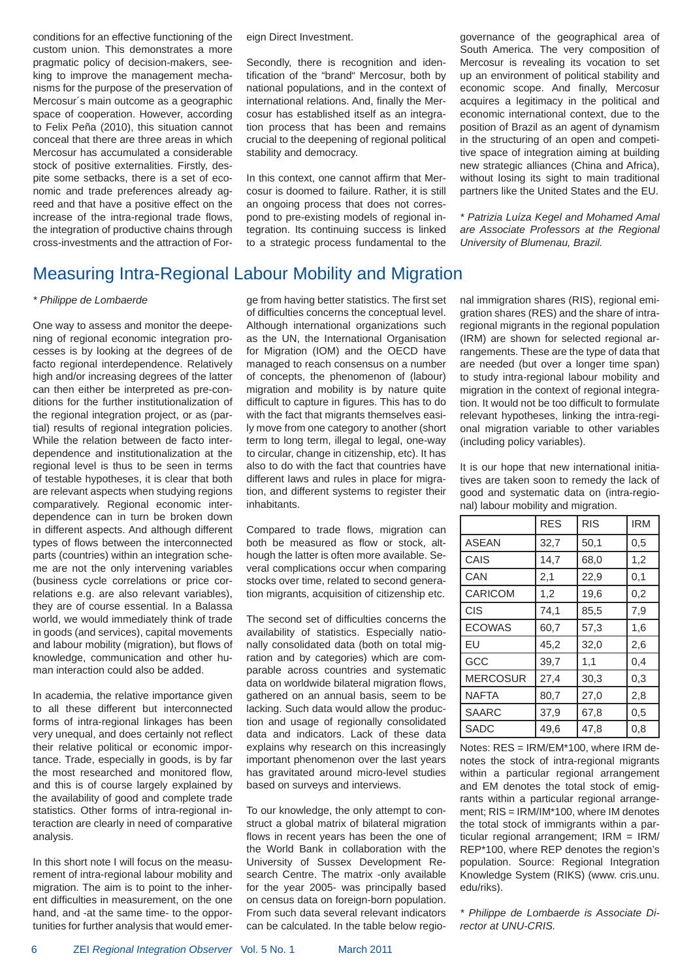conditions for an effective functioning of the custom union. This demonstrates a more pragmatic policy of decision-makers, seeking to improve the management mechanisms for the purpose of the preservation of Mercosur´s main outcome as a geographic space of cooperation. However, according to Felix Peña (2010), this situation cannot conceal that there are three areas in which Mercosur has accumulated a considerable stock of positive externalities. Firstly, despite some setbacks, there is a set of economic and trade preferences already agreed and that have a positive effect on the increase of the intra-regional trade flows, the integration of productive chains through cross-investments and the attraction of Foreign Direct Investment.

Secondly, there is recognition and identification of the "brand" Mercosur, both by national populations, and in the context of international relations. And, finally the Mercosur has established itself as an integration process that has been and remains crucial to the deepening of regional political stability and democracy.

In this context, one cannot affirm that Mercosur is doomed to failure. Rather, it is still an ongoing process that does not correspond to pre-existing models of regional integration. Its continuing success is linked to a strategic process fundamental to the governance of the geographical area of South America. The very composition of Mercosur is revealing its vocation to set up an environment of political stability and economic scope. And finally, Mercosur acquires a legitimacy in the political and economic international context, due to the position of Brazil as an agent of dynamism in the structuring of an open and competitive space of integration aiming at building new strategic alliances (China and Africa), without losing its sight to main traditional partners like the United States and the EU.

*\* Patrizia Luíza Kegel and Mohamed Amal are Associate Professors at the Regional University of Blumenau, Brazil.*

## Measuring Intra-Regional Labour Mobility and Migration

#### *\* Philippe de Lombaerde*

One way to assess and monitor the deepening of regional economic integration processes is by looking at the degrees of de facto regional interdependence. Relatively high and/or increasing degrees of the latter can then either be interpreted as pre-conditions for the further institutionalization of the regional integration project, or as (partial) results of regional integration policies. While the relation between de facto interdependence and institutionalization at the regional level is thus to be seen in terms of testable hypotheses, it is clear that both are relevant aspects when studying regions comparatively. Regional economic interdependence can in turn be broken down in different aspects. And although different types of flows between the interconnected parts (countries) within an integration scheme are not the only intervening variables (business cycle correlations or price correlations e.g. are also relevant variables), they are of course essential. In a Balassa world, we would immediately think of trade in goods (and services), capital movements and labour mobility (migration), but flows of knowledge, communication and other human interaction could also be added.

In academia, the relative importance given to all these different but interconnected forms of intra-regional linkages has been very unequal, and does certainly not reflect their relative political or economic importance. Trade, especially in goods, is by far the most researched and monitored flow. and this is of course largely explained by the availability of good and complete trade statistics. Other forms of intra-regional interaction are clearly in need of comparative analysis.

In this short note I will focus on the measurement of intra-regional labour mobility and migration. The aim is to point to the inherent difficulties in measurement, on the one hand, and -at the same time- to the opportunities for further analysis that would emerge from having better statistics. The first set of difficulties concerns the conceptual level. Although international organizations such as the UN, the International Organisation for Migration (IOM) and the OECD have managed to reach consensus on a number of concepts, the phenomenon of (labour) migration and mobility is by nature quite difficult to capture in figures. This has to do with the fact that migrants themselves easily move from one category to another (short term to long term, illegal to legal, one-way to circular, change in citizenship, etc). It has also to do with the fact that countries have different laws and rules in place for migration, and different systems to register their inhabitants.

Compared to trade flows, migration can both be measured as flow or stock, although the latter is often more available. Several complications occur when comparing stocks over time, related to second generation migrants, acquisition of citizenship etc.

The second set of difficulties concerns the availability of statistics. Especially nationally consolidated data (both on total migration and by categories) which are comparable across countries and systematic data on worldwide bilateral migration flows. gathered on an annual basis, seem to be lacking. Such data would allow the production and usage of regionally consolidated data and indicators. Lack of these data explains why research on this increasingly important phenomenon over the last years has gravitated around micro-level studies based on surveys and interviews.

To our knowledge, the only attempt to construct a global matrix of bilateral migration flows in recent years has been the one of the World Bank in collaboration with the University of Sussex Development Research Centre. The matrix -only available for the year 2005- was principally based on census data on foreign-born population. From such data several relevant indicators can be calculated. In the table below regional immigration shares (RIS), regional emigration shares (RES) and the share of intraregional migrants in the regional population (IRM) are shown for selected regional arrangements. These are the type of data that are needed (but over a longer time span) to study intra-regional labour mobility and migration in the context of regional integration. It would not be too difficult to formulate relevant hypotheses, linking the intra-regional migration variable to other variables (including policy variables).

It is our hope that new international initiatives are taken soon to remedy the lack of good and systematic data on (intra-regional) labour mobility and migration.

|                 | <b>RES</b> | <b>RIS</b> | <b>IRM</b> |
|-----------------|------------|------------|------------|
| <b>ASEAN</b>    | 32,7       | 50,1       | 0,5        |
| CAIS            | 14,7       | 68,0       | 1,2        |
| CAN             | 2,1        | 22,9       | 0,1        |
| <b>CARICOM</b>  | 1,2        | 19,6       | 0,2        |
| <b>CIS</b>      | 74,1       | 85,5       | 7,9        |
| <b>ECOWAS</b>   | 60,7       | 57,3       | 1,6        |
| EU              | 45,2       | 32,0       | 2,6        |
| GCC             | 39,7       | 1,1        | 0,4        |
| <b>MERCOSUR</b> | 27,4       | 30,3       | 0,3        |
| <b>NAFTA</b>    | 80,7       | 27,0       | 2,8        |
| <b>SAARC</b>    | 37,9       | 67,8       | 0,5        |
| <b>SADC</b>     | 49,6       | 47,8       | 0,8        |

Notes: RES = IRM/EM\*100, where IRM denotes the stock of intra-regional migrants within a particular regional arrangement and EM denotes the total stock of emigrants within a particular regional arrangement; RIS = IRM/IM\*100, where IM denotes the total stock of immigrants within a particular regional arrangement; IRM = IRM/ REP\*100, where REP denotes the region's population. Source: Regional Integration Knowledge System (RIKS) (www. cris.unu. edu/riks).

*\* Philippe de Lombaerde is Associate Director at UNU-CRIS.*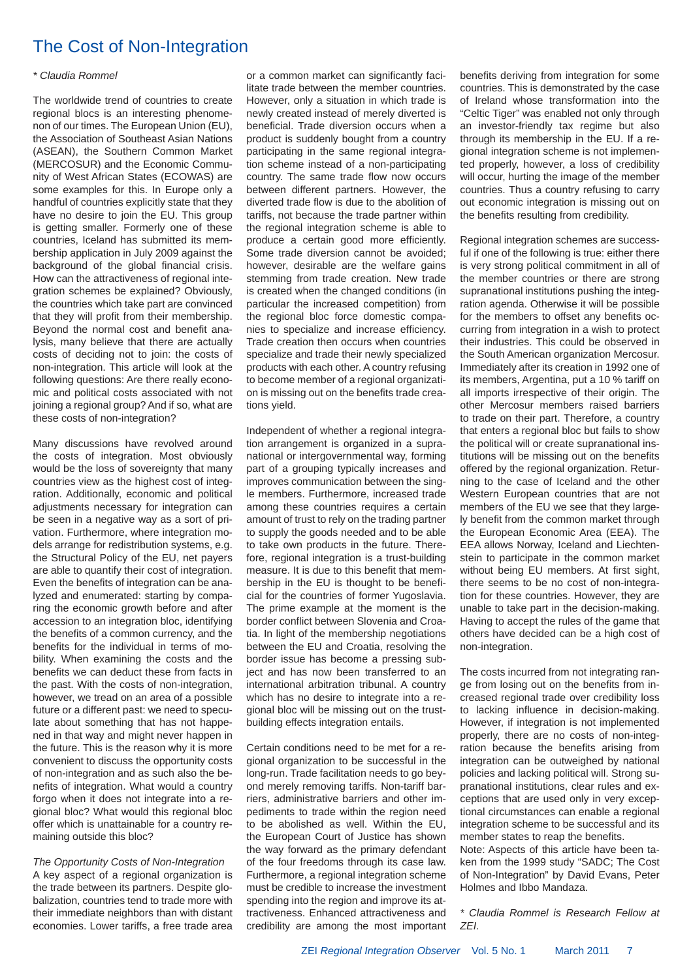## The Cost of Non-Integration

#### *\* Claudia Rommel*

The worldwide trend of countries to create regional blocs is an interesting phenomenon of our times. The European Union (EU), the Association of Southeast Asian Nations (ASEAN), the Southern Common Market (MERCOSUR) and the Economic Community of West African States (ECOWAS) are some examples for this. In Europe only a handful of countries explicitly state that they have no desire to join the EU. This group is getting smaller. Formerly one of these countries, Iceland has submitted its membership application in July 2009 against the background of the global financial crisis. How can the attractiveness of regional integration schemes be explained? Obviously, the countries which take part are convinced that they will profit from their membership. Beyond the normal cost and benefit analysis, many believe that there are actually costs of deciding not to join: the costs of non-integration. This article will look at the following questions: Are there really economic and political costs associated with not joining a regional group? And if so, what are these costs of non-integration?

Many discussions have revolved around the costs of integration. Most obviously would be the loss of sovereignty that many countries view as the highest cost of integration. Additionally, economic and political adjustments necessary for integration can be seen in a negative way as a sort of privation. Furthermore, where integration models arrange for redistribution systems, e.g. the Structural Policy of the EU, net payers are able to quantify their cost of integration. Even the benefits of integration can be analyzed and enumerated: starting by comparing the economic growth before and after accession to an integration bloc, identifying the benefits of a common currency, and the benefits for the individual in terms of mobility. When examining the costs and the benefits we can deduct these from facts in the past. With the costs of non-integration, however, we tread on an area of a possible future or a different past: we need to speculate about something that has not happened in that way and might never happen in the future. This is the reason why it is more convenient to discuss the opportunity costs of non-integration and as such also the benefits of integration. What would a country forgo when it does not integrate into a regional bloc? What would this regional bloc offer which is unattainable for a country remaining outside this bloc?

*The Opportunity Costs of Non-Integration* A key aspect of a regional organization is the trade between its partners. Despite globalization, countries tend to trade more with their immediate neighbors than with distant economies. Lower tariffs, a free trade area or a common market can significantly facilitate trade between the member countries. However, only a situation in which trade is newly created instead of merely diverted is beneficial. Trade diversion occurs when a product is suddenly bought from a country participating in the same regional integration scheme instead of a non-participating country. The same trade flow now occurs between different partners. However, the diverted trade flow is due to the abolition of tariffs, not because the trade partner within the regional integration scheme is able to produce a certain good more efficiently. Some trade diversion cannot be avoided; however, desirable are the welfare gains stemming from trade creation. New trade is created when the changed conditions (in particular the increased competition) from the regional bloc force domestic companies to specialize and increase efficiency. Trade creation then occurs when countries specialize and trade their newly specialized products with each other. A country refusing to become member of a regional organization is missing out on the benefits trade creations yield.

Independent of whether a regional integration arrangement is organized in a supranational or intergovernmental way, forming part of a grouping typically increases and improves communication between the single members. Furthermore, increased trade among these countries requires a certain amount of trust to rely on the trading partner to supply the goods needed and to be able to take own products in the future. Therefore, regional integration is a trust-building measure. It is due to this benefit that membership in the EU is thought to be beneficial for the countries of former Yugoslavia. The prime example at the moment is the border conflict between Slovenia and Croatia. In light of the membership negotiations between the EU and Croatia, resolving the border issue has become a pressing subject and has now been transferred to an international arbitration tribunal. A country which has no desire to integrate into a regional bloc will be missing out on the trustbuilding effects integration entails.

Certain conditions need to be met for a regional organization to be successful in the long-run. Trade facilitation needs to go beyond merely removing tariffs. Non-tariff barriers, administrative barriers and other impediments to trade within the region need to be abolished as well. Within the EU, the European Court of Justice has shown the way forward as the primary defendant of the four freedoms through its case law. Furthermore, a regional integration scheme must be credible to increase the investment spending into the region and improve its attractiveness. Enhanced attractiveness and credibility are among the most important benefits deriving from integration for some countries. This is demonstrated by the case of Ireland whose transformation into the "Celtic Tiger" was enabled not only through an investor-friendly tax regime but also through its membership in the EU. If a regional integration scheme is not implemented properly, however, a loss of credibility will occur, hurting the image of the member countries. Thus a country refusing to carry out economic integration is missing out on the benefits resulting from credibility.

Regional integration schemes are successful if one of the following is true: either there is very strong political commitment in all of the member countries or there are strong supranational institutions pushing the integration agenda. Otherwise it will be possible for the members to offset any benefits occurring from integration in a wish to protect their industries. This could be observed in the South American organization Mercosur. Immediately after its creation in 1992 one of its members, Argentina, put a 10 % tariff on all imports irrespective of their origin. The other Mercosur members raised barriers to trade on their part. Therefore, a country that enters a regional bloc but fails to show the political will or create supranational institutions will be missing out on the benefits offered by the regional organization. Returning to the case of Iceland and the other Western European countries that are not members of the EU we see that they large-Iv benefit from the common market through the European Economic Area (EEA). The EEA allows Norway, Iceland and Liechtenstein to participate in the common market without being EU members. At first sight, there seems to be no cost of non-integration for these countries. However, they are unable to take part in the decision-making. Having to accept the rules of the game that others have decided can be a high cost of non-integration.

The costs incurred from not integrating range from losing out on the benefits from increased regional trade over credibility loss to lacking influence in decision-making. However, if integration is not implemented properly, there are no costs of non-integration because the benefits arising from integration can be outweighed by national policies and lacking political will. Strong supranational institutions, clear rules and exceptions that are used only in very exceptional circumstances can enable a regional integration scheme to be successful and its member states to reap the benefits.

Note: Aspects of this article have been taken from the 1999 study "SADC; The Cost of Non-Integration" by David Evans, Peter Holmes and Ibbo Mandaza.

*\* Claudia Rommel is Research Fellow at ZEI.*